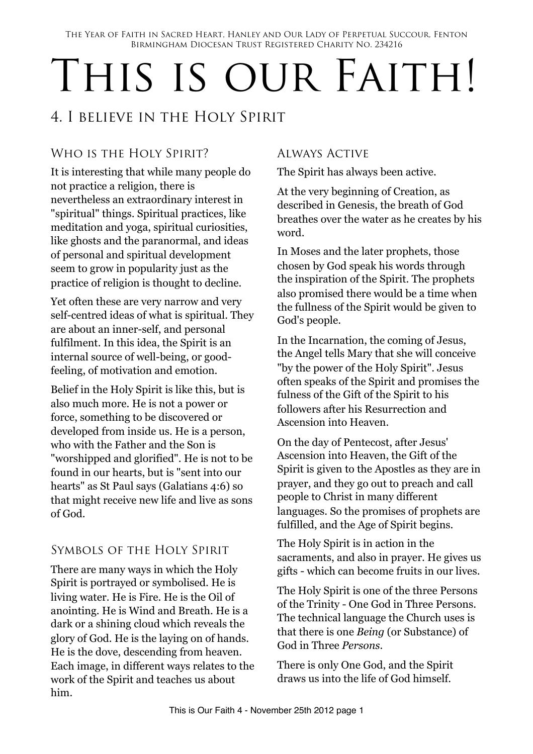The Year of Faith in Sacred Heart, Hanley and Our Lady of Perpetual Succour, Fenton Birmingham Diocesan Trust Registered Charity No. 234216

# THIS IS OUR FAITH!

## 4. I believe in the Holy Spirit

#### WHO IS THE HOLY SPIRIT?

It is interesting that while many people do not practice a religion, there is nevertheless an extraordinary interest in "spiritual" things. Spiritual practices, like meditation and yoga, spiritual curiosities, like ghosts and the paranormal, and ideas of personal and spiritual development seem to grow in popularity just as the practice of religion is thought to decline.

Yet often these are very narrow and very self-centred ideas of what is spiritual. They are about an inner-self, and personal fulfilment. In this idea, the Spirit is an internal source of well-being, or goodfeeling, of motivation and emotion.

Belief in the Holy Spirit is like this, but is also much more. He is not a power or force, something to be discovered or developed from inside us. He is a person, who with the Father and the Son is "worshipped and glorified". He is not to be found in our hearts, but is "sent into our hearts" as St Paul says (Galatians 4:6) so that might receive new life and live as sons of God.

#### Symbols of the Holy Spirit

There are many ways in which the Holy Spirit is portrayed or symbolised. He is living water. He is Fire. He is the Oil of anointing. He is Wind and Breath. He is a dark or a shining cloud which reveals the glory of God. He is the laying on of hands. He is the dove, descending from heaven. Each image, in different ways relates to the work of the Spirit and teaches us about him.

#### Always Active

The Spirit has always been active.

At the very beginning of Creation, as described in Genesis, the breath of God breathes over the water as he creates by his word.

In Moses and the later prophets, those chosen by God speak his words through the inspiration of the Spirit. The prophets also promised there would be a time when the fullness of the Spirit would be given to God's people.

In the Incarnation, the coming of Jesus, the Angel tells Mary that she will conceive "by the power of the Holy Spirit". Jesus often speaks of the Spirit and promises the fulness of the Gift of the Spirit to his followers after his Resurrection and Ascension into Heaven.

On the day of Pentecost, after Jesus' Ascension into Heaven, the Gift of the Spirit is given to the Apostles as they are in prayer, and they go out to preach and call people to Christ in many different languages. So the promises of prophets are fulfilled, and the Age of Spirit begins.

The Holy Spirit is in action in the sacraments, and also in prayer. He gives us gifts - which can become fruits in our lives.

The Holy Spirit is one of the three Persons of the Trinity - One God in Three Persons. The technical language the Church uses is that there is one *Being* (or Substance) of God in Three *Persons*.

There is only One God, and the Spirit draws us into the life of God himself.